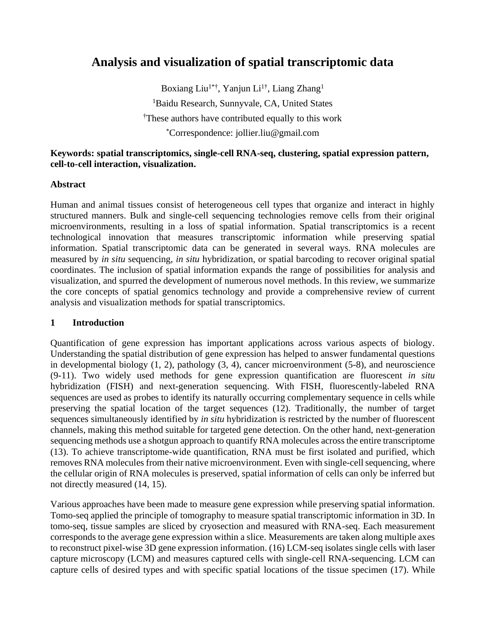# **Analysis and visualization of spatial transcriptomic data**

Boxiang Liu<sup>1\*†</sup>, Yanjun Li<sup>1†</sup>, Liang Zhang<sup>1</sup> <sup>1</sup>Baidu Research, Sunnyvale, CA, United States †These authors have contributed equally to this work \*Correspondence: jollier.liu@gmail.com

## **Keywords: spatial transcriptomics, single-cell RNA-seq, clustering, spatial expression pattern, cell-to-cell interaction, visualization.**

#### **Abstract**

Human and animal tissues consist of heterogeneous cell types that organize and interact in highly structured manners. Bulk and single-cell sequencing technologies remove cells from their original microenvironments, resulting in a loss of spatial information. Spatial transcriptomics is a recent technological innovation that measures transcriptomic information while preserving spatial information. Spatial transcriptomic data can be generated in several ways. RNA molecules are measured by *in situ* sequencing, *in situ* hybridization, or spatial barcoding to recover original spatial coordinates. The inclusion of spatial information expands the range of possibilities for analysis and visualization, and spurred the development of numerous novel methods. In this review, we summarize the core concepts of spatial genomics technology and provide a comprehensive review of current analysis and visualization methods for spatial transcriptomics.

## **1 Introduction**

Quantification of gene expression has important applications across various aspects of biology. Understanding the spatial distribution of gene expression has helped to answer fundamental questions in developmental biology (1, 2), pathology (3, 4), cancer microenvironment (5-8), and neuroscience (9-11). Two widely used methods for gene expression quantification are fluorescent *in situ* hybridization (FISH) and next-generation sequencing. With FISH, fluorescently-labeled RNA sequences are used as probes to identify its naturally occurring complementary sequence in cells while preserving the spatial location of the target sequences (12). Traditionally, the number of target sequences simultaneously identified by *in situ* hybridization is restricted by the number of fluorescent channels, making this method suitable for targeted gene detection. On the other hand, next-generation sequencing methods use a shotgun approach to quantify RNA molecules across the entire transcriptome (13). To achieve transcriptome-wide quantification, RNA must be first isolated and purified, which removes RNA molecules from their native microenvironment. Even with single-cell sequencing, where the cellular origin of RNA molecules is preserved, spatial information of cells can only be inferred but not directly measured (14, 15).

Various approaches have been made to measure gene expression while preserving spatial information. Tomo-seq applied the principle of tomography to measure spatial transcriptomic information in 3D. In tomo-seq, tissue samples are sliced by cryosection and measured with RNA-seq. Each measurement corresponds to the average gene expression within a slice. Measurements are taken along multiple axes to reconstruct pixel-wise 3D gene expression information. (16) LCM-seq isolates single cells with laser capture microscopy (LCM) and measures captured cells with single-cell RNA-sequencing. LCM can capture cells of desired types and with specific spatial locations of the tissue specimen (17). While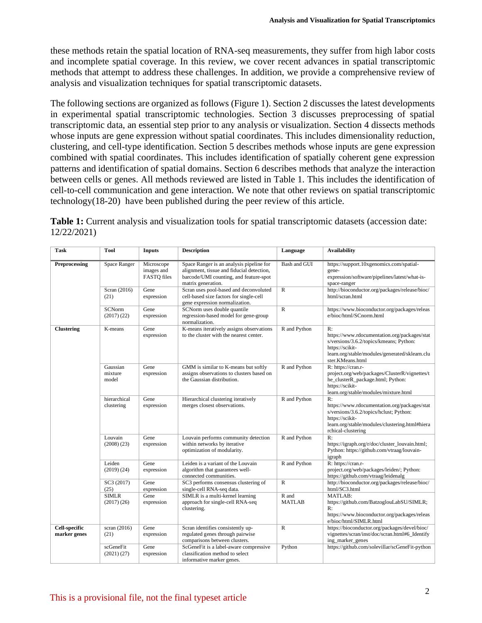these methods retain the spatial location of RNA-seq measurements, they suffer from high labor costs and incomplete spatial coverage. In this review, we cover recent advances in spatial transcriptomic methods that attempt to address these challenges. In addition, we provide a comprehensive review of analysis and visualization techniques for spatial transcriptomic datasets.

The following sections are organized as follows (Figure 1). Section 2 discusses the latest developments in experimental spatial transcriptomic technologies. Section 3 discusses preprocessing of spatial transcriptomic data, an essential step prior to any analysis or visualization. Section 4 dissects methods whose inputs are gene expression without spatial coordinates. This includes dimensionality reduction, clustering, and cell-type identification. Section 5 describes methods whose inputs are gene expression combined with spatial coordinates. This includes identification of spatially coherent gene expression patterns and identification of spatial domains. Section 6 describes methods that analyze the interaction between cells or genes. All methods reviewed are listed in Table 1. This includes the identification of cell-to-cell communication and gene interaction. We note that other reviews on spatial transcriptomic technology(18-20) have been published during the peer review of this article.

| Table 1: Current analysis and visualization tools for spatial transcriptomic datasets (accession date: |  |
|--------------------------------------------------------------------------------------------------------|--|
| 12/22/2021                                                                                             |  |

| Task                                 | <b>Tool</b>                  | <b>Inputs</b>                                  | <b>Description</b>                                                                                                                                    | Language               | <b>Availability</b>                                                                                                                                                                      |  |
|--------------------------------------|------------------------------|------------------------------------------------|-------------------------------------------------------------------------------------------------------------------------------------------------------|------------------------|------------------------------------------------------------------------------------------------------------------------------------------------------------------------------------------|--|
| Preprocessing                        | Space Ranger                 | Microscope<br>images and<br><b>FASTO</b> files | Space Ranger is an analysis pipeline for<br>alignment, tissue and fiducial detection,<br>barcode/UMI counting, and feature-spot<br>matrix generation. | Bash and GUI           | https://support.10xgenomics.com/spatial-<br>gene-<br>expression/software/pipelines/latest/what-is-<br>space-ranger                                                                       |  |
|                                      | Scran (2016)<br>(21)         | Gene<br>expression                             | Scran uses pool-based and deconvoluted<br>cell-based size factors for single-cell<br>gene expression normalization.                                   | $\mathbb{R}$           | http://bioconductor.org/packages/release/bioc/<br>html/scran.html                                                                                                                        |  |
|                                      | <b>SCNorm</b><br>(2017)(22)  | Gene<br>expression                             | SCNorm uses double quantile<br>regression-based model for gene-group<br>normalization.                                                                | $\mathbb{R}$           | https://www.bioconductor.org/packages/releas<br>e/bioc/html/SCnorm.html                                                                                                                  |  |
| <b>Clustering</b>                    | K-means                      | Gene<br>expression                             | K-means iteratively assigns observations<br>to the cluster with the nearest center.                                                                   | R and Python           | R:<br>https://www.rdocumentation.org/packages/stat<br>s/versions/3.6.2/topics/kmeans; Python:<br>https://scikit-<br>learn.org/stable/modules/generated/sklearn.clu<br>ster.KMeans.html   |  |
|                                      | Gaussian<br>mixture<br>model | Gene<br>expression                             | GMM is similar to K-means but softly<br>assigns observations to clusters based on<br>the Gaussian distribution.                                       | R and Python           | R: https://cran.r-<br>project.org/web/packages/ClusterR/vignettes/t<br>he_clusterR_package.html; Python:<br>https://scikit-<br>learn.org/stable/modules/mixture.html                     |  |
|                                      | hierarchical<br>clustering   | Gene<br>expression                             | Hierarchical clustering iteratively<br>merges closest observations.                                                                                   | R and Python           | R:<br>https://www.rdocumentation.org/packages/stat<br>s/versions/3.6.2/topics/hclust; Python:<br>https://scikit-<br>learn.org/stable/modules/clustering.html#hiera<br>rchical-clustering |  |
|                                      | Louvain<br>(2008)(23)        | Gene<br>expression                             | Louvain performs community detection<br>within networks by iterative<br>optimization of modularity.                                                   | R and Python           | R:<br>https://igraph.org/r/doc/cluster_louvain.html;<br>Python: https://github.com/vtraag/louvain-<br>igraph                                                                             |  |
|                                      | Leiden<br>(2019)(24)         | Gene<br>expression                             | Leiden is a variant of the Louvain<br>algorithm that guarantees well-<br>connected communities.                                                       | R and Python           | R: https://cran.r-<br>project.org/web/packages/leiden/; Python:<br>https://github.com/vtraag/leidenalg                                                                                   |  |
|                                      | SC3 (2017)<br>(25)           | Gene<br>expression                             | SC3 performs consensus clustering of<br>single-cell RNA-seq data.                                                                                     | $\mathbb{R}$           | http://bioconductor.org/packages/release/bioc/<br>html/SC3.html                                                                                                                          |  |
|                                      | <b>SIMLR</b><br>(2017)(26)   | Gene<br>expression                             | SIMLR is a multi-kernel learning<br>approach for single-cell RNA-seq<br>clustering.                                                                   | R and<br><b>MATLAB</b> | MATLAB:<br>https://github.com/BatzoglouLabSU/SIMLR;<br>R:<br>https://www.bioconductor.org/packages/releas<br>e/bioc/html/SIMLR.html                                                      |  |
| <b>Cell-specific</b><br>marker genes | scran $(2016)$<br>(21)       | Gene<br>expression                             | Scran identifies consistently up-<br>regulated genes through pairwise<br>comparisons between clusters.                                                | $\mathbb{R}$           | https://bioconductor.org/packages/devel/bioc/<br>vignettes/scran/inst/doc/scran.html#6_Identify<br>ing marker genes                                                                      |  |
|                                      | scGeneFit<br>(2021)(27)      | Gene<br>expression                             | ScGeneFit is a label-aware compressive<br>classification method to select<br>informative marker genes.                                                | Python                 | https://github.com/solevillar/scGeneFit-python                                                                                                                                           |  |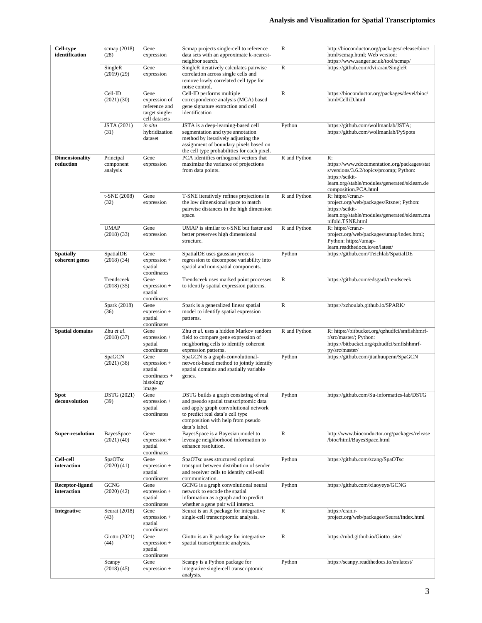| <b>Cell-type</b><br>scmap (2018)<br>Gene<br>identification<br>(28)<br>expression |                                | Scmap projects single-cell to reference<br>data sets with an approximate k-nearest-<br>neighbor search. | $\mathbb{R}$<br>http://bioconductor.org/packages/release/bioc/<br>html/scmap.html; Web version:<br>https://www.sanger.ac.uk/tool/scmap/                                                                             |              |                                                                                                                                                                                           |
|----------------------------------------------------------------------------------|--------------------------------|---------------------------------------------------------------------------------------------------------|---------------------------------------------------------------------------------------------------------------------------------------------------------------------------------------------------------------------|--------------|-------------------------------------------------------------------------------------------------------------------------------------------------------------------------------------------|
| SingleR<br>(2019)(29)                                                            |                                | Gene<br>expression                                                                                      | SingleR iteratively calculates pairwise<br>correlation across single cells and<br>remove lowly correlated cell type for<br>noise control.                                                                           | $\mathbb R$  | https://github.com/dviraran/SingleR                                                                                                                                                       |
|                                                                                  | Cell-ID<br>(2021) (30)         | Gene<br>expression of<br>reference and<br>target single-<br>cell datasets                               | Cell-ID performs multiple<br>correspondence analysis (MCA) based<br>gene signature extraction and cell<br>identification                                                                                            | $\mathbb R$  | https://bioconductor.org/packages/devel/bioc/<br>html/CelliD.html                                                                                                                         |
|                                                                                  | JSTA (2021)<br>(31)            | in situ<br>hybridization<br>dataset                                                                     | JSTA is a deep-learning-based cell<br>segmentation and type annotation<br>method by iteratively adjusting the<br>assignment of boundary pixels based on<br>the cell type probabilities for each pixel.              | Python       | https://github.com/wollmanlab/JSTA;<br>https://github.com/wollmanlab/PySpots                                                                                                              |
| <b>Dimensionality</b><br>Principal<br>Gene<br>reduction<br>component<br>analysis |                                | expression                                                                                              | PCA identifies orthogonal vectors that<br>maximize the variance of projections<br>from data points.                                                                                                                 | R and Python | R:<br>https://www.rdocumentation.org/packages/stat<br>s/versions/3.6.2/topics/prcomp; Python:<br>https://scikit-<br>learn.org/stable/modules/generated/sklearn.de<br>composition.PCA.html |
|                                                                                  | t-SNE (2008)<br>(32)           | Gene<br>expression                                                                                      | T-SNE iteratively refines projections in<br>the low dimensional space to match<br>pairwise distances in the high dimension<br>space.                                                                                | R and Python | R: https://cran.r-<br>project.org/web/packages/Rtsne/; Python:<br>https://scikit-<br>learn.org/stable/modules/generated/sklearn.ma<br>nifold.TSNE.html                                    |
|                                                                                  | <b>UMAP</b><br>(2018)(33)      | Gene<br>expression                                                                                      | UMAP is similar to t-SNE but faster and<br>better preserves high dimensional<br>structure.                                                                                                                          | R and Python | R: https://cran.r-<br>project.org/web/packages/umap/index.html;<br>Python: https://umap-<br>learn.readthedocs.io/en/latest/                                                               |
| <b>Spatially</b><br>coherent genes                                               | SpatialDE<br>(2018)(34)        | Gene<br>expression +<br>spatial<br>coordinates                                                          | SpatialDE uses gaussian process<br>regression to decompose variability into<br>spatial and non-spatial components.                                                                                                  | Python       | https://github.com/Teichlab/SpatialDE                                                                                                                                                     |
|                                                                                  | Trendsceek<br>(2018)(35)       | Gene<br>expression +<br>spatial<br>coordinates                                                          | Trendsceek uses marked point processes<br>to identify spatial expression patterns.                                                                                                                                  | $\mathbb{R}$ | https://github.com/edsgard/trendsceek                                                                                                                                                     |
|                                                                                  | Spark (2018)<br>(36)           | Gene<br>expression +<br>spatial<br>coordinates                                                          | Spark is a generalized linear spatial<br>model to identify spatial expression<br>patterns.                                                                                                                          | R            | https://xzhoulab.github.io/SPARK/                                                                                                                                                         |
| <b>Spatial domains</b>                                                           | Zhu et al.<br>(2018)(37)       | Gene<br>expression +<br>spatial<br>coordinates                                                          | Zhu et al. uses a hidden Markov random<br>field to compare gene expression of<br>neighboring cells to identify coherent<br>expression patterns.                                                                     | R and Python | R: https://bitbucket.org/qzhudfci/smfishhmrf-<br>r/src/master/; Python:<br>https://bitbucket.org/qzhudfci/smfishhmrf-<br>py/src/master/                                                   |
|                                                                                  | SpaGCN<br>$(2021)$ $(38)$      | Gene<br>expression +<br>spatial<br>coordinates +<br>histology<br>image                                  | SpaGCN is a graph-convolutional-<br>network-based method to jointly identify<br>spatial domains and spatially variable<br>genes.                                                                                    | Python       | https://github.com/jianhuupenn/SpaGCN                                                                                                                                                     |
| <b>Spot</b><br>deconvolution                                                     | DSTG (2021)<br>(39)            | Gene<br>expression +<br>spatial<br>coordinates                                                          | DSTG builds a graph consisting of real<br>and pseudo spatial transcriptomic data<br>and apply graph convolutional network<br>to predict real data's cell type<br>composition with help from pseudo<br>data's label. | Python       | https://github.com/Su-informatics-lab/DSTG                                                                                                                                                |
| <b>Super-resolution</b>                                                          | BayesSpace<br>(2021)(40)       | Gene<br>expression +<br>spatial<br>coordinates                                                          | BayesSpace is a Bayesian model to<br>leverage neighborhood information to<br>enhance resolution.                                                                                                                    | R            | http://www.bioconductor.org/packages/release<br>/bioc/html/BayesSpace.html                                                                                                                |
| <b>Cell-cell</b><br>interaction                                                  | SpaOTsc<br>(2020)(41)          | Gene<br>expression +<br>spatial<br>coordinates                                                          | SpaOTsc uses structured optimal<br>transport between distribution of sender<br>and receiver cells to identify cell-cell<br>communication.                                                                           | Python       | https://github.com/zcang/SpaOTsc                                                                                                                                                          |
| <b>Receptor-ligand</b><br>interaction                                            | <b>GCNG</b><br>$(2020)$ $(42)$ | Gene<br>expression +<br>spatial<br>coordinates                                                          | GCNG is a graph convolutional neural<br>network to encode the spatial<br>information as a graph and to predict<br>whether a gene pair will interact.                                                                | Python       | https://github.com/xiaoyeye/GCNG                                                                                                                                                          |
| <b>Integrative</b>                                                               | Seurat (2018)<br>(43)          | Gene<br>expression +<br>spatial<br>coordinates                                                          | Seurat is an R package for integrative<br>single-cell transcriptomic analysis.                                                                                                                                      | R            | https://cran.r-<br>project.org/web/packages/Seurat/index.html                                                                                                                             |
|                                                                                  | Giotto (2021)<br>(44)          | Gene<br>expression +<br>spatial<br>coordinates                                                          | Giotto is an R package for integrative<br>spatial transcriptomic analysis.                                                                                                                                          | R            | https://rubd.github.io/Giotto_site/                                                                                                                                                       |
|                                                                                  | Scanpy<br>(2018)(45)           | Gene<br>expression +                                                                                    | Scanpy is a Python package for<br>integrative single-cell transcriptomic<br>analysis.                                                                                                                               | Python       | https://scanpy.readthedocs.io/en/latest/                                                                                                                                                  |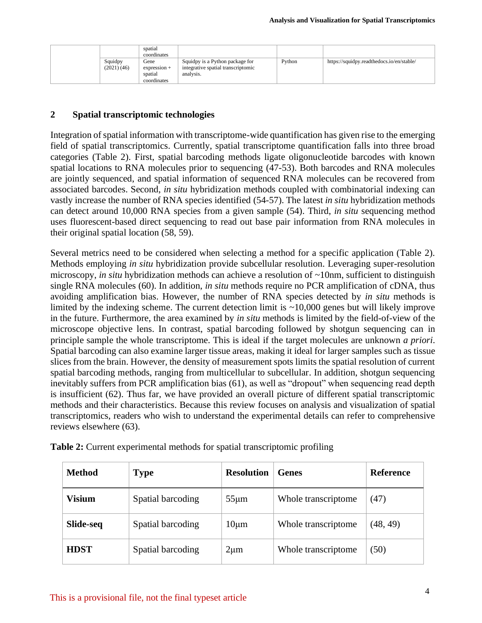|                       | spatial<br>coordinates                           |                                                                                    |        |                                           |
|-----------------------|--------------------------------------------------|------------------------------------------------------------------------------------|--------|-------------------------------------------|
| Squidpy<br>(2021)(46) | Gene<br>$expression +$<br>spatial<br>coordinates | Squidpy is a Python package for<br>integrative spatial transcriptomic<br>analysis. | Python | https://squidpy.readthedocs.io/en/stable/ |

#### **2 Spatial transcriptomic technologies**

Integration of spatial information with transcriptome-wide quantification has given rise to the emerging field of spatial transcriptomics. Currently, spatial transcriptome quantification falls into three broad categories (Table 2). First, spatial barcoding methods ligate oligonucleotide barcodes with known spatial locations to RNA molecules prior to sequencing (47-53). Both barcodes and RNA molecules are jointly sequenced, and spatial information of sequenced RNA molecules can be recovered from associated barcodes. Second, *in situ* hybridization methods coupled with combinatorial indexing can vastly increase the number of RNA species identified (54-57). The latest *in situ* hybridization methods can detect around 10,000 RNA species from a given sample (54). Third, *in situ* sequencing method uses fluorescent-based direct sequencing to read out base pair information from RNA molecules in their original spatial location (58, 59).

Several metrics need to be considered when selecting a method for a specific application (Table 2). Methods employing *in situ* hybridization provide subcellular resolution. Leveraging super-resolution microscopy, *in situ* hybridization methods can achieve a resolution of ~10nm, sufficient to distinguish single RNA molecules (60). In addition, *in situ* methods require no PCR amplification of cDNA, thus avoiding amplification bias. However, the number of RNA species detected by *in situ* methods is limited by the indexing scheme. The current detection limit is  $\sim 10,000$  genes but will likely improve in the future. Furthermore, the area examined by *in situ* methods is limited by the field-of-view of the microscope objective lens. In contrast, spatial barcoding followed by shotgun sequencing can in principle sample the whole transcriptome. This is ideal if the target molecules are unknown *a priori*. Spatial barcoding can also examine larger tissue areas, making it ideal for larger samples such as tissue slices from the brain. However, the density of measurement spots limits the spatial resolution of current spatial barcoding methods, ranging from multicellular to subcellular. In addition, shotgun sequencing inevitably suffers from PCR amplification bias (61), as well as "dropout" when sequencing read depth is insufficient (62). Thus far, we have provided an overall picture of different spatial transcriptomic methods and their characteristics. Because this review focuses on analysis and visualization of spatial transcriptomics, readers who wish to understand the experimental details can refer to comprehensive reviews elsewhere (63).

| Method           | <b>Type</b>       | <b>Resolution</b> | <b>Genes</b>        | Reference |
|------------------|-------------------|-------------------|---------------------|-----------|
| <b>Visium</b>    | Spatial barcoding | $55 \mu m$        | Whole transcriptome | (47)      |
| <b>Slide-seq</b> | Spatial barcoding | $10 \mu m$        | Whole transcriptome | (48, 49)  |
| <b>HDST</b>      | Spatial barcoding | $2\mu m$          | Whole transcriptome | (50)      |

| Table 2: Current experimental methods for spatial transcriptomic profiling |
|----------------------------------------------------------------------------|
|----------------------------------------------------------------------------|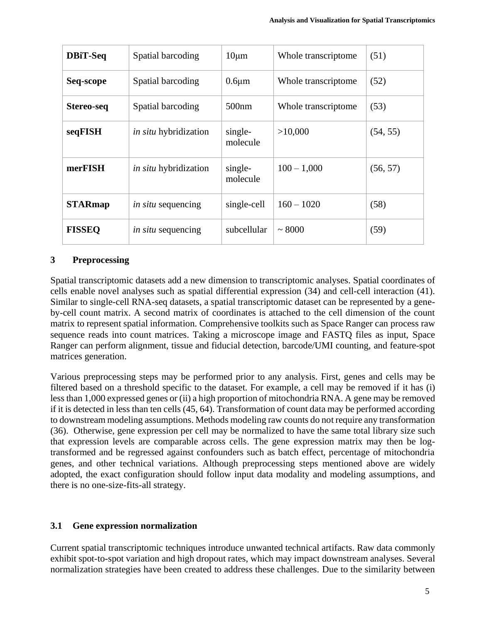| <b>DBiT-Seq</b> | Spatial barcoding            | $10 \mu m$          | Whole transcriptome | (51)     |
|-----------------|------------------------------|---------------------|---------------------|----------|
| Seq-scope       | Spatial barcoding            | $0.6 \mu m$         | Whole transcriptome | (52)     |
| Stereo-seq      | Spatial barcoding            | 500nm               | Whole transcriptome | (53)     |
| seqFISH         | <i>in situ</i> hybridization | single-<br>molecule | >10,000             | (54, 55) |
| merFISH         | <i>in situ</i> hybridization | single-<br>molecule | $100 - 1,000$       | (56, 57) |
| <b>STARmap</b>  | <i>in situ</i> sequencing    | single-cell         | $160 - 1020$        | (58)     |
| <b>FISSEQ</b>   | <i>in situ</i> sequencing    | subcellular         | ~1000               | (59)     |

# **3 Preprocessing**

Spatial transcriptomic datasets add a new dimension to transcriptomic analyses. Spatial coordinates of cells enable novel analyses such as spatial differential expression (34) and cell-cell interaction (41). Similar to single-cell RNA-seq datasets, a spatial transcriptomic dataset can be represented by a geneby-cell count matrix. A second matrix of coordinates is attached to the cell dimension of the count matrix to represent spatial information. Comprehensive toolkits such as Space Ranger can process raw sequence reads into count matrices. Taking a microscope image and FASTQ files as input, Space Ranger can perform alignment, tissue and fiducial detection, barcode/UMI counting, and feature-spot matrices generation.

Various preprocessing steps may be performed prior to any analysis. First, genes and cells may be filtered based on a threshold specific to the dataset. For example, a cell may be removed if it has (i) less than 1,000 expressed genes or (ii) a high proportion of mitochondria RNA. A gene may be removed if it is detected in less than ten cells (45, 64). Transformation of count data may be performed according to downstream modeling assumptions. Methods modeling raw counts do not require any transformation (36). Otherwise, gene expression per cell may be normalized to have the same total library size such that expression levels are comparable across cells. The gene expression matrix may then be logtransformed and be regressed against confounders such as batch effect, percentage of mitochondria genes, and other technical variations. Although preprocessing steps mentioned above are widely adopted, the exact configuration should follow input data modality and modeling assumptions, and there is no one-size-fits-all strategy.

# **3.1 Gene expression normalization**

Current spatial transcriptomic techniques introduce unwanted technical artifacts. Raw data commonly exhibit spot-to-spot variation and high dropout rates, which may impact downstream analyses. Several normalization strategies have been created to address these challenges. Due to the similarity between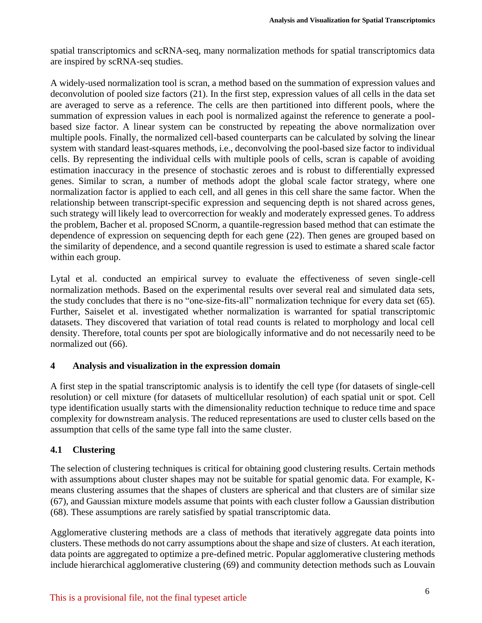spatial transcriptomics and scRNA-seq, many normalization methods for spatial transcriptomics data are inspired by scRNA-seq studies.

A widely-used normalization tool is scran, a method based on the summation of expression values and deconvolution of pooled size factors (21). In the first step, expression values of all cells in the data set are averaged to serve as a reference. The cells are then partitioned into different pools, where the summation of expression values in each pool is normalized against the reference to generate a poolbased size factor. A linear system can be constructed by repeating the above normalization over multiple pools. Finally, the normalized cell-based counterparts can be calculated by solving the linear system with standard least-squares methods, i.e., deconvolving the pool-based size factor to individual cells. By representing the individual cells with multiple pools of cells, scran is capable of avoiding estimation inaccuracy in the presence of stochastic zeroes and is robust to differentially expressed genes. Similar to scran, a number of methods adopt the global scale factor strategy, where one normalization factor is applied to each cell, and all genes in this cell share the same factor. When the relationship between transcript-specific expression and sequencing depth is not shared across genes, such strategy will likely lead to overcorrection for weakly and moderately expressed genes. To address the problem, Bacher et al. proposed SCnorm, a quantile-regression based method that can estimate the dependence of expression on sequencing depth for each gene (22). Then genes are grouped based on the similarity of dependence, and a second quantile regression is used to estimate a shared scale factor within each group.

Lytal et al. conducted an empirical survey to evaluate the effectiveness of seven single-cell normalization methods. Based on the experimental results over several real and simulated data sets, the study concludes that there is no "one-size-fits-all" normalization technique for every data set (65). Further, Saiselet et al. investigated whether normalization is warranted for spatial transcriptomic datasets. They discovered that variation of total read counts is related to morphology and local cell density. Therefore, total counts per spot are biologically informative and do not necessarily need to be normalized out (66).

## **4 Analysis and visualization in the expression domain**

A first step in the spatial transcriptomic analysis is to identify the cell type (for datasets of single-cell resolution) or cell mixture (for datasets of multicellular resolution) of each spatial unit or spot. Cell type identification usually starts with the dimensionality reduction technique to reduce time and space complexity for downstream analysis. The reduced representations are used to cluster cells based on the assumption that cells of the same type fall into the same cluster.

## **4.1 Clustering**

The selection of clustering techniques is critical for obtaining good clustering results. Certain methods with assumptions about cluster shapes may not be suitable for spatial genomic data. For example, Kmeans clustering assumes that the shapes of clusters are spherical and that clusters are of similar size (67), and Gaussian mixture models assume that points with each cluster follow a Gaussian distribution (68). These assumptions are rarely satisfied by spatial transcriptomic data.

Agglomerative clustering methods are a class of methods that iteratively aggregate data points into clusters. These methods do not carry assumptions about the shape and size of clusters. At each iteration, data points are aggregated to optimize a pre-defined metric. Popular agglomerative clustering methods include hierarchical agglomerative clustering (69) and community detection methods such as Louvain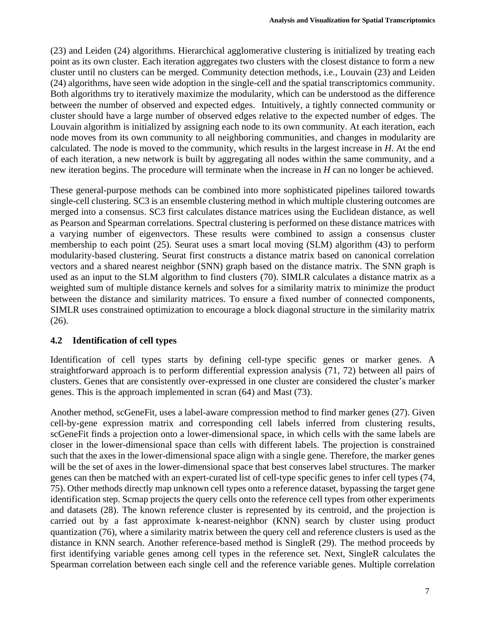(23) and Leiden (24) algorithms. Hierarchical agglomerative clustering is initialized by treating each point as its own cluster. Each iteration aggregates two clusters with the closest distance to form a new cluster until no clusters can be merged. Community detection methods, i.e., Louvain (23) and Leiden (24) algorithms, have seen wide adoption in the single-cell and the spatial transcriptomics community. Both algorithms try to iteratively maximize the modularity, which can be understood as the difference between the number of observed and expected edges. Intuitively, a tightly connected community or cluster should have a large number of observed edges relative to the expected number of edges. The Louvain algorithm is initialized by assigning each node to its own community. At each iteration, each node moves from its own community to all neighboring communities, and changes in modularity are calculated. The node is moved to the community, which results in the largest increase in *H*. At the end of each iteration, a new network is built by aggregating all nodes within the same community, and a new iteration begins. The procedure will terminate when the increase in *H* can no longer be achieved.

These general-purpose methods can be combined into more sophisticated pipelines tailored towards single-cell clustering. SC3 is an ensemble clustering method in which multiple clustering outcomes are merged into a consensus. SC3 first calculates distance matrices using the Euclidean distance, as well as Pearson and Spearman correlations. Spectral clustering is performed on these distance matrices with a varying number of eigenvectors. These results were combined to assign a consensus cluster membership to each point (25). Seurat uses a smart local moving (SLM) algorithm (43) to perform modularity-based clustering. Seurat first constructs a distance matrix based on canonical correlation vectors and a shared nearest neighbor (SNN) graph based on the distance matrix. The SNN graph is used as an input to the SLM algorithm to find clusters (70). SIMLR calculates a distance matrix as a weighted sum of multiple distance kernels and solves for a similarity matrix to minimize the product between the distance and similarity matrices. To ensure a fixed number of connected components, SIMLR uses constrained optimization to encourage a block diagonal structure in the similarity matrix (26).

## **4.2 Identification of cell types**

Identification of cell types starts by defining cell-type specific genes or marker genes. A straightforward approach is to perform differential expression analysis (71, 72) between all pairs of clusters. Genes that are consistently over-expressed in one cluster are considered the cluster's marker genes. This is the approach implemented in scran (64) and Mast (73).

Another method, scGeneFit, uses a label-aware compression method to find marker genes (27). Given cell-by-gene expression matrix and corresponding cell labels inferred from clustering results, scGeneFit finds a projection onto a lower-dimensional space, in which cells with the same labels are closer in the lower-dimensional space than cells with different labels. The projection is constrained such that the axes in the lower-dimensional space align with a single gene. Therefore, the marker genes will be the set of axes in the lower-dimensional space that best conserves label structures. The marker genes can then be matched with an expert-curated list of cell-type specific genes to infer cell types (74, 75). Other methods directly map unknown cell types onto a reference dataset, bypassing the target gene identification step. Scmap projects the query cells onto the reference cell types from other experiments and datasets (28). The known reference cluster is represented by its centroid, and the projection is carried out by a fast approximate k-nearest-neighbor (KNN) search by cluster using product quantization (76), where a similarity matrix between the query cell and reference clusters is used as the distance in KNN search. Another reference-based method is SingleR (29). The method proceeds by first identifying variable genes among cell types in the reference set. Next, SingleR calculates the Spearman correlation between each single cell and the reference variable genes. Multiple correlation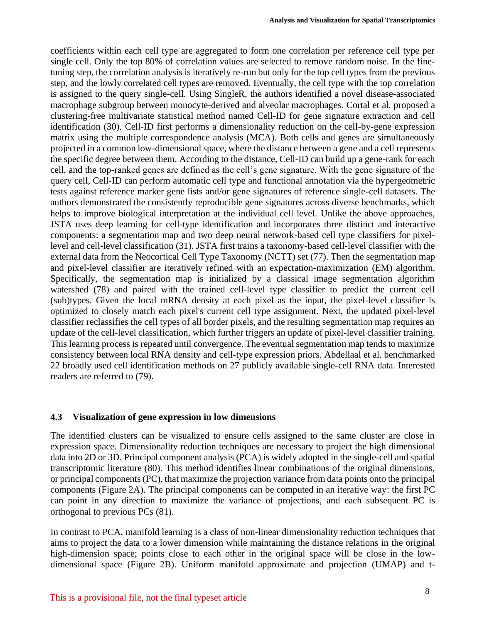coefficients within each cell type are aggregated to form one correlation per reference cell type per single cell. Only the top 80% of correlation values are selected to remove random noise. In the finetuning step, the correlation analysis is iteratively re-run but only for the top cell types from the previous step, and the lowly correlated cell types are removed. Eventually, the cell type with the top correlation is assigned to the query single-cell. Using SingleR, the authors identified a novel disease-associated macrophage subgroup between monocyte-derived and alveolar macrophages. Cortal et al. proposed a clustering-free multivariate statistical method named Cell-ID for gene signature extraction and cell identification (30). Cell-ID first performs a dimensionality reduction on the cell-by-gene expression matrix using the multiple correspondence analysis (MCA). Both cells and genes are simultaneously projected in a common low-dimensional space, where the distance between a gene and a cell represents the specific degree between them. According to the distance, Cell-ID can build up a gene-rank for each cell, and the top-ranked genes are defined as the cell's gene signature. With the gene signature of the query cell, Cell-ID can perform automatic cell type and functional annotation via the hypergeometric tests against reference marker gene lists and/or gene signatures of reference single-cell datasets. The authors demonstrated the consistently reproducible gene signatures across diverse benchmarks, which helps to improve biological interpretation at the individual cell level. Unlike the above approaches, JSTA uses deep learning for cell-type identification and incorporates three distinct and interactive components: a segmentation map and two deep neural network-based cell type classifiers for pixellevel and cell-level classification (31). JSTA first trains a taxonomy-based cell-level classifier with the external data from the Neocortical Cell Type Taxonomy (NCTT) set (77). Then the segmentation map and pixel-level classifier are iteratively refined with an expectation-maximization (EM) algorithm. Specifically, the segmentation map is initialized by a classical image segmentation algorithm watershed (78) and paired with the trained cell-level type classifier to predict the current cell (sub)types. Given the local mRNA density at each pixel as the input, the pixel-level classifier is optimized to closely match each pixel's current cell type assignment. Next, the updated pixel-level classifier reclassifies the cell types of all border pixels, and the resulting segmentation map requires an update of the cell-level classification, which further triggers an update of pixel-level classifier training. This learning process is repeated until convergence. The eventual segmentation map tends to maximize consistency between local RNA density and cell-type expression priors. Abdellaal et al. benchmarked 22 broadly used cell identification methods on 27 publicly available single-cell RNA data. Interested readers are referred to (79).

#### **4.3 Visualization of gene expression in low dimensions**

The identified clusters can be visualized to ensure cells assigned to the same cluster are close in expression space. Dimensionality reduction techniques are necessary to project the high dimensional data into 2D or 3D. Principal component analysis (PCA) is widely adopted in the single-cell and spatial transcriptomic literature (80). This method identifies linear combinations of the original dimensions, or principal components (PC), that maximize the projection variance from data points onto the principal components (Figure 2A). The principal components can be computed in an iterative way: the first PC can point in any direction to maximize the variance of projections, and each subsequent PC is orthogonal to previous PCs (81).

In contrast to PCA, manifold learning is a class of non-linear dimensionality reduction techniques that aims to project the data to a lower dimension while maintaining the distance relations in the original high-dimension space; points close to each other in the original space will be close in the lowdimensional space (Figure 2B). Uniform manifold approximate and projection (UMAP) and t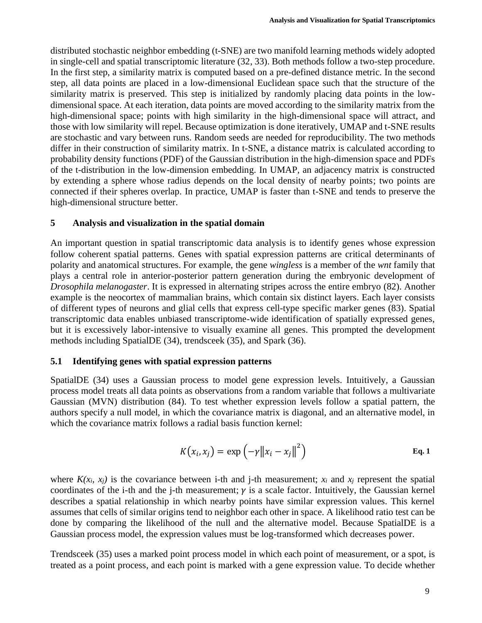distributed stochastic neighbor embedding (t-SNE) are two manifold learning methods widely adopted in single-cell and spatial transcriptomic literature (32, 33). Both methods follow a two-step procedure. In the first step, a similarity matrix is computed based on a pre-defined distance metric. In the second step, all data points are placed in a low-dimensional Euclidean space such that the structure of the similarity matrix is preserved. This step is initialized by randomly placing data points in the lowdimensional space. At each iteration, data points are moved according to the similarity matrix from the high-dimensional space; points with high similarity in the high-dimensional space will attract, and those with low similarity will repel. Because optimization is done iteratively, UMAP and t-SNE results are stochastic and vary between runs. Random seeds are needed for reproducibility. The two methods differ in their construction of similarity matrix. In t-SNE, a distance matrix is calculated according to probability density functions (PDF) of the Gaussian distribution in the high-dimension space and PDFs of the t-distribution in the low-dimension embedding. In UMAP, an adjacency matrix is constructed by extending a sphere whose radius depends on the local density of nearby points; two points are connected if their spheres overlap. In practice, UMAP is faster than t-SNE and tends to preserve the high-dimensional structure better.

#### **5 Analysis and visualization in the spatial domain**

An important question in spatial transcriptomic data analysis is to identify genes whose expression follow coherent spatial patterns. Genes with spatial expression patterns are critical determinants of polarity and anatomical structures. For example, the gene *wingless* is a member of the *wnt* family that plays a central role in anterior-posterior pattern generation during the embryonic development of *Drosophila melanogaster*. It is expressed in alternating stripes across the entire embryo (82). Another example is the neocortex of mammalian brains, which contain six distinct layers. Each layer consists of different types of neurons and glial cells that express cell-type specific marker genes (83). Spatial transcriptomic data enables unbiased transcriptome-wide identification of spatially expressed genes, but it is excessively labor-intensive to visually examine all genes. This prompted the development methods including SpatialDE (34), trendsceek (35), and Spark (36).

#### **5.1 Identifying genes with spatial expression patterns**

SpatialDE (34) uses a Gaussian process to model gene expression levels. Intuitively, a Gaussian process model treats all data points as observations from a random variable that follows a multivariate Gaussian (MVN) distribution (84). To test whether expression levels follow a spatial pattern, the authors specify a null model, in which the covariance matrix is diagonal, and an alternative model, in which the covariance matrix follows a radial basis function kernel:

$$
K(x_i, x_j) = \exp(-\gamma ||x_i - x_j||^2)
$$
 Eq. 1

where  $K(x_i, x_j)$  is the covariance between i-th and j-th measurement;  $x_i$  and  $x_j$  represent the spatial coordinates of the i-th and the j-th measurement;  $\gamma$  is a scale factor. Intuitively, the Gaussian kernel describes a spatial relationship in which nearby points have similar expression values. This kernel assumes that cells of similar origins tend to neighbor each other in space. A likelihood ratio test can be done by comparing the likelihood of the null and the alternative model. Because SpatialDE is a Gaussian process model, the expression values must be log-transformed which decreases power.

Trendsceek (35) uses a marked point process model in which each point of measurement, or a spot, is treated as a point process, and each point is marked with a gene expression value. To decide whether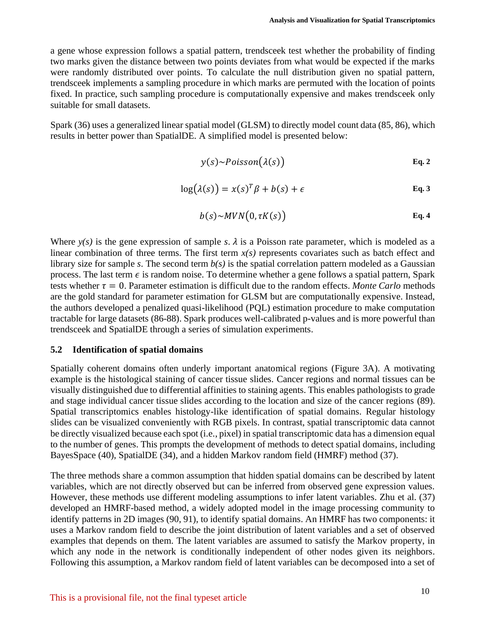a gene whose expression follows a spatial pattern, trendsceek test whether the probability of finding two marks given the distance between two points deviates from what would be expected if the marks were randomly distributed over points. To calculate the null distribution given no spatial pattern, trendsceek implements a sampling procedure in which marks are permuted with the location of points fixed. In practice, such sampling procedure is computationally expensive and makes trendsceek only suitable for small datasets.

Spark (36) uses a generalized linear spatial model (GLSM) to directly model count data (85, 86), which results in better power than SpatialDE. A simplified model is presented below:

$$
y(s) \sim Poisson(\lambda(s))
$$
 Eq. 2

$$
\log(\lambda(s)) = x(s)^T \beta + b(s) + \epsilon
$$
 Eq. 3

$$
b(s) \sim MVN(0, \tau K(s))
$$
 Eq. 4

Where  $y(s)$  is the gene expression of sample *s*.  $\lambda$  is a Poisson rate parameter, which is modeled as a linear combination of three terms. The first term  $x(s)$  represents covariates such as batch effect and library size for sample *s*. The second term *b(s)* is the spatial correlation pattern modeled as a Gaussian process. The last term  $\epsilon$  is random noise. To determine whether a gene follows a spatial pattern, Spark tests whether  $\tau = 0$ . Parameter estimation is difficult due to the random effects. *Monte Carlo* methods are the gold standard for parameter estimation for GLSM but are computationally expensive. Instead, the authors developed a penalized quasi-likelihood (PQL) estimation procedure to make computation tractable for large datasets (86-88). Spark produces well-calibrated p-values and is more powerful than trendsceek and SpatialDE through a series of simulation experiments.

#### **5.2 Identification of spatial domains**

Spatially coherent domains often underly important anatomical regions (Figure 3A). A motivating example is the histological staining of cancer tissue slides. Cancer regions and normal tissues can be visually distinguished due to differential affinities to staining agents. This enables pathologists to grade and stage individual cancer tissue slides according to the location and size of the cancer regions (89). Spatial transcriptomics enables histology-like identification of spatial domains. Regular histology slides can be visualized conveniently with RGB pixels. In contrast, spatial transcriptomic data cannot be directly visualized because each spot (i.e., pixel) in spatial transcriptomic data has a dimension equal to the number of genes. This prompts the development of methods to detect spatial domains, including BayesSpace (40), SpatialDE (34), and a hidden Markov random field (HMRF) method (37).

The three methods share a common assumption that hidden spatial domains can be described by latent variables, which are not directly observed but can be inferred from observed gene expression values. However, these methods use different modeling assumptions to infer latent variables. Zhu et al. (37) developed an HMRF-based method, a widely adopted model in the image processing community to identify patterns in 2D images (90, 91), to identify spatial domains. An HMRF has two components: it uses a Markov random field to describe the joint distribution of latent variables and a set of observed examples that depends on them. The latent variables are assumed to satisfy the Markov property, in which any node in the network is conditionally independent of other nodes given its neighbors. Following this assumption, a Markov random field of latent variables can be decomposed into a set of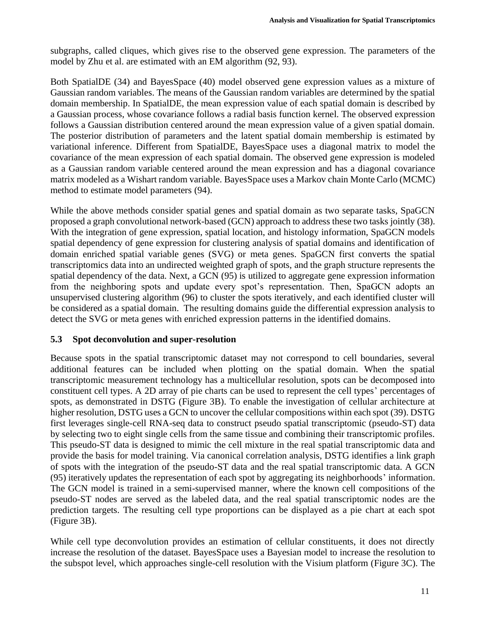subgraphs, called cliques, which gives rise to the observed gene expression. The parameters of the model by Zhu et al. are estimated with an EM algorithm (92, 93).

Both SpatialDE (34) and BayesSpace (40) model observed gene expression values as a mixture of Gaussian random variables. The means of the Gaussian random variables are determined by the spatial domain membership. In SpatialDE, the mean expression value of each spatial domain is described by a Gaussian process, whose covariance follows a radial basis function kernel. The observed expression follows a Gaussian distribution centered around the mean expression value of a given spatial domain. The posterior distribution of parameters and the latent spatial domain membership is estimated by variational inference. Different from SpatialDE, BayesSpace uses a diagonal matrix to model the covariance of the mean expression of each spatial domain. The observed gene expression is modeled as a Gaussian random variable centered around the mean expression and has a diagonal covariance matrix modeled as a Wishart random variable. BayesSpace uses a Markov chain Monte Carlo (MCMC) method to estimate model parameters (94).

While the above methods consider spatial genes and spatial domain as two separate tasks, SpaGCN proposed a graph convolutional network-based (GCN) approach to address these two tasks jointly (38). With the integration of gene expression, spatial location, and histology information, SpaGCN models spatial dependency of gene expression for clustering analysis of spatial domains and identification of domain enriched spatial variable genes (SVG) or meta genes. SpaGCN first converts the spatial transcriptomics data into an undirected weighted graph of spots, and the graph structure represents the spatial dependency of the data. Next, a GCN (95) is utilized to aggregate gene expression information from the neighboring spots and update every spot's representation. Then, SpaGCN adopts an unsupervised clustering algorithm (96) to cluster the spots iteratively, and each identified cluster will be considered as a spatial domain. The resulting domains guide the differential expression analysis to detect the SVG or meta genes with enriched expression patterns in the identified domains.

#### **5.3 Spot deconvolution and super-resolution**

Because spots in the spatial transcriptomic dataset may not correspond to cell boundaries, several additional features can be included when plotting on the spatial domain. When the spatial transcriptomic measurement technology has a multicellular resolution, spots can be decomposed into constituent cell types. A 2D array of pie charts can be used to represent the cell types' percentages of spots, as demonstrated in DSTG (Figure 3B). To enable the investigation of cellular architecture at higher resolution, DSTG uses a GCN to uncover the cellular compositions within each spot (39). DSTG first leverages single-cell RNA-seq data to construct pseudo spatial transcriptomic (pseudo-ST) data by selecting two to eight single cells from the same tissue and combining their transcriptomic profiles. This pseudo-ST data is designed to mimic the cell mixture in the real spatial transcriptomic data and provide the basis for model training. Via canonical correlation analysis, DSTG identifies a link graph of spots with the integration of the pseudo-ST data and the real spatial transcriptomic data. A GCN (95) iteratively updates the representation of each spot by aggregating its neighborhoods' information. The GCN model is trained in a semi-supervised manner, where the known cell compositions of the pseudo-ST nodes are served as the labeled data, and the real spatial transcriptomic nodes are the prediction targets. The resulting cell type proportions can be displayed as a pie chart at each spot (Figure 3B).

While cell type deconvolution provides an estimation of cellular constituents, it does not directly increase the resolution of the dataset. BayesSpace uses a Bayesian model to increase the resolution to the subspot level, which approaches single-cell resolution with the Visium platform (Figure 3C). The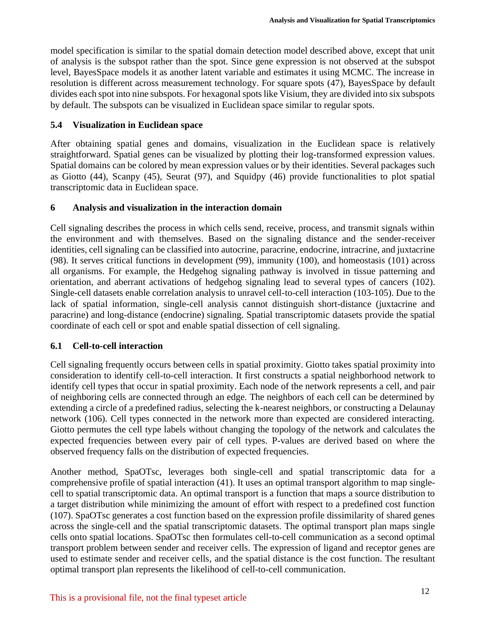model specification is similar to the spatial domain detection model described above, except that unit of analysis is the subspot rather than the spot. Since gene expression is not observed at the subspot level, BayesSpace models it as another latent variable and estimates it using MCMC. The increase in resolution is different across measurement technology. For square spots (47), BayesSpace by default divides each spot into nine subspots. For hexagonal spots like Visium, they are divided into six subspots by default. The subspots can be visualized in Euclidean space similar to regular spots.

#### **5.4 Visualization in Euclidean space**

After obtaining spatial genes and domains, visualization in the Euclidean space is relatively straightforward. Spatial genes can be visualized by plotting their log-transformed expression values. Spatial domains can be colored by mean expression values or by their identities. Several packages such as Giotto (44), Scanpy (45), Seurat (97), and Squidpy (46) provide functionalities to plot spatial transcriptomic data in Euclidean space.

#### **6 Analysis and visualization in the interaction domain**

Cell signaling describes the process in which cells send, receive, process, and transmit signals within the environment and with themselves. Based on the signaling distance and the sender-receiver identities, cell signaling can be classified into autocrine, paracrine, endocrine, intracrine, and juxtacrine (98). It serves critical functions in development (99), immunity (100), and homeostasis (101) across all organisms. For example, the Hedgehog signaling pathway is involved in tissue patterning and orientation, and aberrant activations of hedgehog signaling lead to several types of cancers (102). Single-cell datasets enable correlation analysis to unravel cell-to-cell interaction (103-105). Due to the lack of spatial information, single-cell analysis cannot distinguish short-distance (juxtacrine and paracrine) and long-distance (endocrine) signaling. Spatial transcriptomic datasets provide the spatial coordinate of each cell or spot and enable spatial dissection of cell signaling.

## **6.1 Cell-to-cell interaction**

Cell signaling frequently occurs between cells in spatial proximity. Giotto takes spatial proximity into consideration to identify cell-to-cell interaction. It first constructs a spatial neighborhood network to identify cell types that occur in spatial proximity. Each node of the network represents a cell, and pair of neighboring cells are connected through an edge. The neighbors of each cell can be determined by extending a circle of a predefined radius, selecting the k-nearest neighbors, or constructing a Delaunay network (106). Cell types connected in the network more than expected are considered interacting. Giotto permutes the cell type labels without changing the topology of the network and calculates the expected frequencies between every pair of cell types. P-values are derived based on where the observed frequency falls on the distribution of expected frequencies.

Another method, SpaOTsc, leverages both single-cell and spatial transcriptomic data for a comprehensive profile of spatial interaction (41). It uses an optimal transport algorithm to map singlecell to spatial transcriptomic data. An optimal transport is a function that maps a source distribution to a target distribution while minimizing the amount of effort with respect to a predefined cost function (107). SpaOTsc generates a cost function based on the expression profile dissimilarity of shared genes across the single-cell and the spatial transcriptomic datasets. The optimal transport plan maps single cells onto spatial locations. SpaOTsc then formulates cell-to-cell communication as a second optimal transport problem between sender and receiver cells. The expression of ligand and receptor genes are used to estimate sender and receiver cells, and the spatial distance is the cost function. The resultant optimal transport plan represents the likelihood of cell-to-cell communication.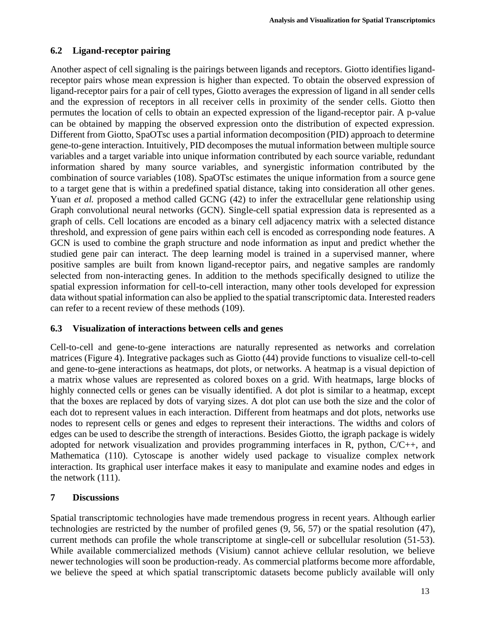# **6.2 Ligand-receptor pairing**

Another aspect of cell signaling is the pairings between ligands and receptors. Giotto identifies ligandreceptor pairs whose mean expression is higher than expected. To obtain the observed expression of ligand-receptor pairs for a pair of cell types, Giotto averages the expression of ligand in all sender cells and the expression of receptors in all receiver cells in proximity of the sender cells. Giotto then permutes the location of cells to obtain an expected expression of the ligand-receptor pair. A p-value can be obtained by mapping the observed expression onto the distribution of expected expression. Different from Giotto, SpaOTsc uses a partial information decomposition (PID) approach to determine gene-to-gene interaction. Intuitively, PID decomposes the mutual information between multiple source variables and a target variable into unique information contributed by each source variable, redundant information shared by many source variables, and synergistic information contributed by the combination of source variables (108). SpaOTsc estimates the unique information from a source gene to a target gene that is within a predefined spatial distance, taking into consideration all other genes. Yuan *et al.* proposed a method called GCNG (42) to infer the extracellular gene relationship using Graph convolutional neural networks (GCN). Single-cell spatial expression data is represented as a graph of cells. Cell locations are encoded as a binary cell adjacency matrix with a selected distance threshold, and expression of gene pairs within each cell is encoded as corresponding node features. A GCN is used to combine the graph structure and node information as input and predict whether the studied gene pair can interact. The deep learning model is trained in a supervised manner, where positive samples are built from known ligand-receptor pairs, and negative samples are randomly selected from non-interacting genes. In addition to the methods specifically designed to utilize the spatial expression information for cell-to-cell interaction, many other tools developed for expression data without spatial information can also be applied to the spatial transcriptomic data. Interested readers can refer to a recent review of these methods (109).

## **6.3 Visualization of interactions between cells and genes**

Cell-to-cell and gene-to-gene interactions are naturally represented as networks and correlation matrices (Figure 4). Integrative packages such as Giotto (44) provide functions to visualize cell-to-cell and gene-to-gene interactions as heatmaps, dot plots, or networks. A heatmap is a visual depiction of a matrix whose values are represented as colored boxes on a grid. With heatmaps, large blocks of highly connected cells or genes can be visually identified. A dot plot is similar to a heatmap, except that the boxes are replaced by dots of varying sizes. A dot plot can use both the size and the color of each dot to represent values in each interaction. Different from heatmaps and dot plots, networks use nodes to represent cells or genes and edges to represent their interactions. The widths and colors of edges can be used to describe the strength of interactions. Besides Giotto, the igraph package is widely adopted for network visualization and provides programming interfaces in R, python, C/C++, and Mathematica (110). Cytoscape is another widely used package to visualize complex network interaction. Its graphical user interface makes it easy to manipulate and examine nodes and edges in the network (111).

#### **7 Discussions**

Spatial transcriptomic technologies have made tremendous progress in recent years. Although earlier technologies are restricted by the number of profiled genes (9, 56, 57) or the spatial resolution (47), current methods can profile the whole transcriptome at single-cell or subcellular resolution (51-53). While available commercialized methods (Visium) cannot achieve cellular resolution, we believe newer technologies will soon be production-ready. As commercial platforms become more affordable, we believe the speed at which spatial transcriptomic datasets become publicly available will only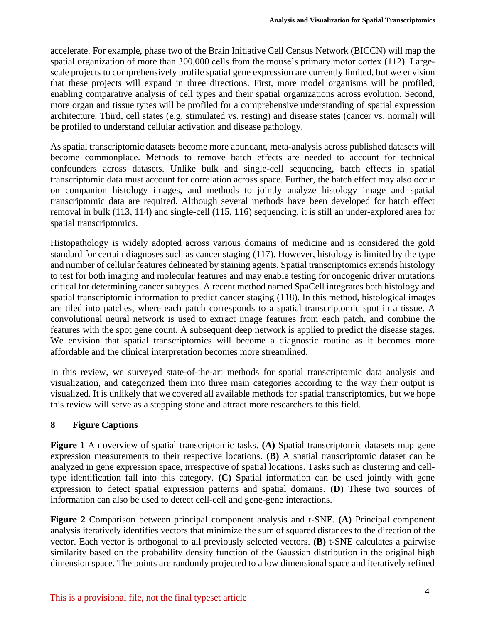accelerate. For example, phase two of the Brain Initiative Cell Census Network (BICCN) will map the spatial organization of more than 300,000 cells from the mouse's primary motor cortex (112). Largescale projects to comprehensively profile spatial gene expression are currently limited, but we envision that these projects will expand in three directions. First, more model organisms will be profiled, enabling comparative analysis of cell types and their spatial organizations across evolution. Second, more organ and tissue types will be profiled for a comprehensive understanding of spatial expression architecture. Third, cell states (e.g. stimulated vs. resting) and disease states (cancer vs. normal) will be profiled to understand cellular activation and disease pathology.

As spatial transcriptomic datasets become more abundant, meta-analysis across published datasets will become commonplace. Methods to remove batch effects are needed to account for technical confounders across datasets. Unlike bulk and single-cell sequencing, batch effects in spatial transcriptomic data must account for correlation across space. Further, the batch effect may also occur on companion histology images, and methods to jointly analyze histology image and spatial transcriptomic data are required. Although several methods have been developed for batch effect removal in bulk (113, 114) and single-cell (115, 116) sequencing, it is still an under-explored area for spatial transcriptomics.

Histopathology is widely adopted across various domains of medicine and is considered the gold standard for certain diagnoses such as cancer staging (117). However, histology is limited by the type and number of cellular features delineated by staining agents. Spatial transcriptomics extends histology to test for both imaging and molecular features and may enable testing for oncogenic driver mutations critical for determining cancer subtypes. A recent method named SpaCell integrates both histology and spatial transcriptomic information to predict cancer staging (118). In this method, histological images are tiled into patches, where each patch corresponds to a spatial transcriptomic spot in a tissue. A convolutional neural network is used to extract image features from each patch, and combine the features with the spot gene count. A subsequent deep network is applied to predict the disease stages. We envision that spatial transcriptomics will become a diagnostic routine as it becomes more affordable and the clinical interpretation becomes more streamlined.

In this review, we surveyed state-of-the-art methods for spatial transcriptomic data analysis and visualization, and categorized them into three main categories according to the way their output is visualized. It is unlikely that we covered all available methods for spatial transcriptomics, but we hope this review will serve as a stepping stone and attract more researchers to this field.

## **8 Figure Captions**

**Figure 1** An overview of spatial transcriptomic tasks. **(A)** Spatial transcriptomic datasets map gene expression measurements to their respective locations. **(B)** A spatial transcriptomic dataset can be analyzed in gene expression space, irrespective of spatial locations. Tasks such as clustering and celltype identification fall into this category. **(C)** Spatial information can be used jointly with gene expression to detect spatial expression patterns and spatial domains. **(D)** These two sources of information can also be used to detect cell-cell and gene-gene interactions.

**Figure 2** Comparison between principal component analysis and t-SNE. **(A)** Principal component analysis iteratively identifies vectors that minimize the sum of squared distances to the direction of the vector. Each vector is orthogonal to all previously selected vectors. **(B)** t-SNE calculates a pairwise similarity based on the probability density function of the Gaussian distribution in the original high dimension space. The points are randomly projected to a low dimensional space and iteratively refined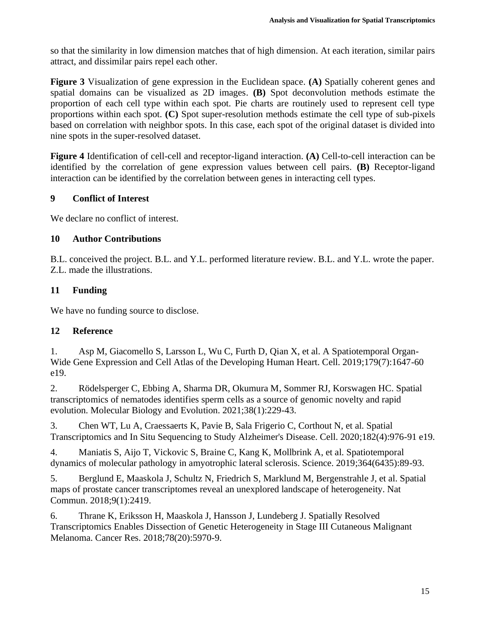so that the similarity in low dimension matches that of high dimension. At each iteration, similar pairs attract, and dissimilar pairs repel each other.

**Figure 3** Visualization of gene expression in the Euclidean space. **(A)** Spatially coherent genes and spatial domains can be visualized as 2D images. **(B)** Spot deconvolution methods estimate the proportion of each cell type within each spot. Pie charts are routinely used to represent cell type proportions within each spot. **(C)** Spot super-resolution methods estimate the cell type of sub-pixels based on correlation with neighbor spots. In this case, each spot of the original dataset is divided into nine spots in the super-resolved dataset.

**Figure 4** Identification of cell-cell and receptor-ligand interaction. **(A)** Cell-to-cell interaction can be identified by the correlation of gene expression values between cell pairs. **(B)** Receptor-ligand interaction can be identified by the correlation between genes in interacting cell types.

# **9 Conflict of Interest**

We declare no conflict of interest.

# **10 Author Contributions**

B.L. conceived the project. B.L. and Y.L. performed literature review. B.L. and Y.L. wrote the paper. Z.L. made the illustrations.

# **11 Funding**

We have no funding source to disclose.

# **12 Reference**

1. Asp M, Giacomello S, Larsson L, Wu C, Furth D, Qian X, et al. A Spatiotemporal Organ-Wide Gene Expression and Cell Atlas of the Developing Human Heart. Cell. 2019;179(7):1647-60 e19.

2. Rödelsperger C, Ebbing A, Sharma DR, Okumura M, Sommer RJ, Korswagen HC. Spatial transcriptomics of nematodes identifies sperm cells as a source of genomic novelty and rapid evolution. Molecular Biology and Evolution. 2021;38(1):229-43.

3. Chen WT, Lu A, Craessaerts K, Pavie B, Sala Frigerio C, Corthout N, et al. Spatial Transcriptomics and In Situ Sequencing to Study Alzheimer's Disease. Cell. 2020;182(4):976-91 e19.

4. Maniatis S, Aijo T, Vickovic S, Braine C, Kang K, Mollbrink A, et al. Spatiotemporal dynamics of molecular pathology in amyotrophic lateral sclerosis. Science. 2019;364(6435):89-93.

5. Berglund E, Maaskola J, Schultz N, Friedrich S, Marklund M, Bergenstrahle J, et al. Spatial maps of prostate cancer transcriptomes reveal an unexplored landscape of heterogeneity. Nat Commun. 2018;9(1):2419.

6. Thrane K, Eriksson H, Maaskola J, Hansson J, Lundeberg J. Spatially Resolved Transcriptomics Enables Dissection of Genetic Heterogeneity in Stage III Cutaneous Malignant Melanoma. Cancer Res. 2018;78(20):5970-9.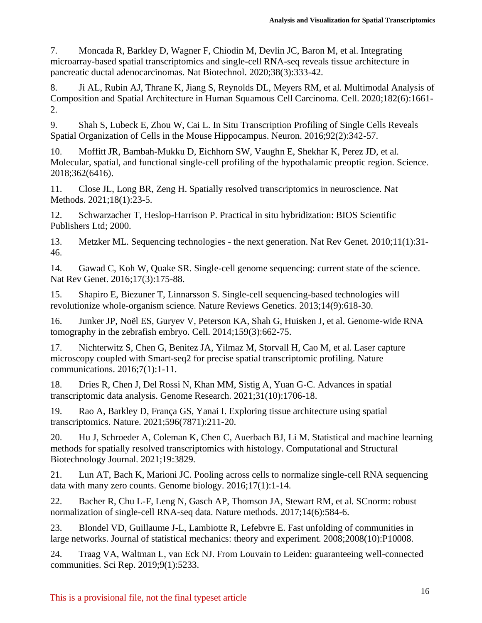7. Moncada R, Barkley D, Wagner F, Chiodin M, Devlin JC, Baron M, et al. Integrating microarray-based spatial transcriptomics and single-cell RNA-seq reveals tissue architecture in pancreatic ductal adenocarcinomas. Nat Biotechnol. 2020;38(3):333-42.

8. Ji AL, Rubin AJ, Thrane K, Jiang S, Reynolds DL, Meyers RM, et al. Multimodal Analysis of Composition and Spatial Architecture in Human Squamous Cell Carcinoma. Cell. 2020;182(6):1661- 2.

9. Shah S, Lubeck E, Zhou W, Cai L. In Situ Transcription Profiling of Single Cells Reveals Spatial Organization of Cells in the Mouse Hippocampus. Neuron. 2016;92(2):342-57.

10. Moffitt JR, Bambah-Mukku D, Eichhorn SW, Vaughn E, Shekhar K, Perez JD, et al. Molecular, spatial, and functional single-cell profiling of the hypothalamic preoptic region. Science. 2018;362(6416).

11. Close JL, Long BR, Zeng H. Spatially resolved transcriptomics in neuroscience. Nat Methods. 2021;18(1):23-5.

12. Schwarzacher T, Heslop-Harrison P. Practical in situ hybridization: BIOS Scientific Publishers Ltd; 2000.

13. Metzker ML. Sequencing technologies - the next generation. Nat Rev Genet. 2010;11(1):31- 46.

14. Gawad C, Koh W, Quake SR. Single-cell genome sequencing: current state of the science. Nat Rev Genet. 2016;17(3):175-88.

15. Shapiro E, Biezuner T, Linnarsson S. Single-cell sequencing-based technologies will revolutionize whole-organism science. Nature Reviews Genetics. 2013;14(9):618-30.

16. Junker JP, Noël ES, Guryev V, Peterson KA, Shah G, Huisken J, et al. Genome-wide RNA tomography in the zebrafish embryo. Cell. 2014;159(3):662-75.

17. Nichterwitz S, Chen G, Benitez JA, Yilmaz M, Storvall H, Cao M, et al. Laser capture microscopy coupled with Smart-seq2 for precise spatial transcriptomic profiling. Nature communications. 2016;7(1):1-11.

18. Dries R, Chen J, Del Rossi N, Khan MM, Sistig A, Yuan G-C. Advances in spatial transcriptomic data analysis. Genome Research. 2021;31(10):1706-18.

19. Rao A, Barkley D, França GS, Yanai I. Exploring tissue architecture using spatial transcriptomics. Nature. 2021;596(7871):211-20.

20. Hu J, Schroeder A, Coleman K, Chen C, Auerbach BJ, Li M. Statistical and machine learning methods for spatially resolved transcriptomics with histology. Computational and Structural Biotechnology Journal. 2021;19:3829.

21. Lun AT, Bach K, Marioni JC. Pooling across cells to normalize single-cell RNA sequencing data with many zero counts. Genome biology. 2016;17(1):1-14.

22. Bacher R, Chu L-F, Leng N, Gasch AP, Thomson JA, Stewart RM, et al. SCnorm: robust normalization of single-cell RNA-seq data. Nature methods. 2017;14(6):584-6.

23. Blondel VD, Guillaume J-L, Lambiotte R, Lefebvre E. Fast unfolding of communities in large networks. Journal of statistical mechanics: theory and experiment. 2008;2008(10):P10008.

24. Traag VA, Waltman L, van Eck NJ. From Louvain to Leiden: guaranteeing well-connected communities. Sci Rep. 2019;9(1):5233.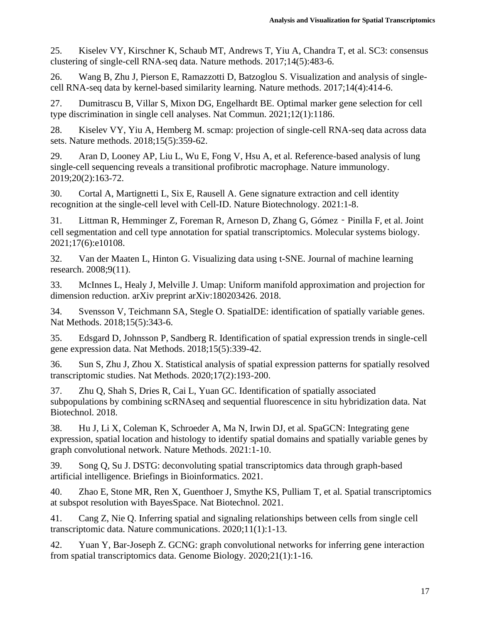25. Kiselev VY, Kirschner K, Schaub MT, Andrews T, Yiu A, Chandra T, et al. SC3: consensus clustering of single-cell RNA-seq data. Nature methods. 2017;14(5):483-6.

26. Wang B, Zhu J, Pierson E, Ramazzotti D, Batzoglou S. Visualization and analysis of singlecell RNA-seq data by kernel-based similarity learning. Nature methods. 2017;14(4):414-6.

27. Dumitrascu B, Villar S, Mixon DG, Engelhardt BE. Optimal marker gene selection for cell type discrimination in single cell analyses. Nat Commun. 2021;12(1):1186.

28. Kiselev VY, Yiu A, Hemberg M. scmap: projection of single-cell RNA-seq data across data sets. Nature methods. 2018;15(5):359-62.

29. Aran D, Looney AP, Liu L, Wu E, Fong V, Hsu A, et al. Reference-based analysis of lung single-cell sequencing reveals a transitional profibrotic macrophage. Nature immunology. 2019;20(2):163-72.

30. Cortal A, Martignetti L, Six E, Rausell A. Gene signature extraction and cell identity recognition at the single-cell level with Cell-ID. Nature Biotechnology. 2021:1-8.

31. Littman R, Hemminger Z, Foreman R, Arneson D, Zhang G, Gómez‐Pinilla F, et al. Joint cell segmentation and cell type annotation for spatial transcriptomics. Molecular systems biology. 2021;17(6):e10108.

32. Van der Maaten L, Hinton G. Visualizing data using t-SNE. Journal of machine learning research. 2008;9(11).

33. McInnes L, Healy J, Melville J. Umap: Uniform manifold approximation and projection for dimension reduction. arXiv preprint arXiv:180203426. 2018.

34. Svensson V, Teichmann SA, Stegle O. SpatialDE: identification of spatially variable genes. Nat Methods. 2018;15(5):343-6.

35. Edsgard D, Johnsson P, Sandberg R. Identification of spatial expression trends in single-cell gene expression data. Nat Methods. 2018;15(5):339-42.

36. Sun S, Zhu J, Zhou X. Statistical analysis of spatial expression patterns for spatially resolved transcriptomic studies. Nat Methods. 2020;17(2):193-200.

37. Zhu Q, Shah S, Dries R, Cai L, Yuan GC. Identification of spatially associated subpopulations by combining scRNAseq and sequential fluorescence in situ hybridization data. Nat Biotechnol. 2018.

38. Hu J, Li X, Coleman K, Schroeder A, Ma N, Irwin DJ, et al. SpaGCN: Integrating gene expression, spatial location and histology to identify spatial domains and spatially variable genes by graph convolutional network. Nature Methods. 2021:1-10.

39. Song Q, Su J. DSTG: deconvoluting spatial transcriptomics data through graph-based artificial intelligence. Briefings in Bioinformatics. 2021.

40. Zhao E, Stone MR, Ren X, Guenthoer J, Smythe KS, Pulliam T, et al. Spatial transcriptomics at subspot resolution with BayesSpace. Nat Biotechnol. 2021.

41. Cang Z, Nie Q. Inferring spatial and signaling relationships between cells from single cell transcriptomic data. Nature communications. 2020;11(1):1-13.

42. Yuan Y, Bar-Joseph Z. GCNG: graph convolutional networks for inferring gene interaction from spatial transcriptomics data. Genome Biology. 2020;21(1):1-16.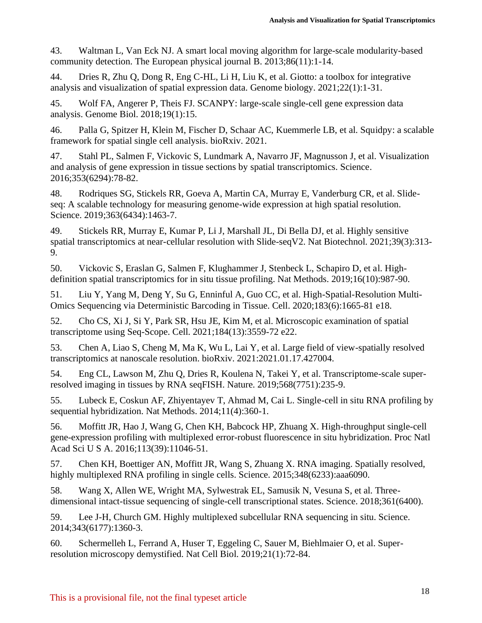43. Waltman L, Van Eck NJ. A smart local moving algorithm for large-scale modularity-based community detection. The European physical journal B. 2013;86(11):1-14.

44. Dries R, Zhu Q, Dong R, Eng C-HL, Li H, Liu K, et al. Giotto: a toolbox for integrative analysis and visualization of spatial expression data. Genome biology. 2021;22(1):1-31.

45. Wolf FA, Angerer P, Theis FJ. SCANPY: large-scale single-cell gene expression data analysis. Genome Biol. 2018;19(1):15.

46. Palla G, Spitzer H, Klein M, Fischer D, Schaar AC, Kuemmerle LB, et al. Squidpy: a scalable framework for spatial single cell analysis. bioRxiv. 2021.

47. Stahl PL, Salmen F, Vickovic S, Lundmark A, Navarro JF, Magnusson J, et al. Visualization and analysis of gene expression in tissue sections by spatial transcriptomics. Science. 2016;353(6294):78-82.

48. Rodriques SG, Stickels RR, Goeva A, Martin CA, Murray E, Vanderburg CR, et al. Slideseq: A scalable technology for measuring genome-wide expression at high spatial resolution. Science. 2019;363(6434):1463-7.

49. Stickels RR, Murray E, Kumar P, Li J, Marshall JL, Di Bella DJ, et al. Highly sensitive spatial transcriptomics at near-cellular resolution with Slide-seqV2. Nat Biotechnol. 2021;39(3):313- 9.

50. Vickovic S, Eraslan G, Salmen F, Klughammer J, Stenbeck L, Schapiro D, et al. Highdefinition spatial transcriptomics for in situ tissue profiling. Nat Methods. 2019;16(10):987-90.

51. Liu Y, Yang M, Deng Y, Su G, Enninful A, Guo CC, et al. High-Spatial-Resolution Multi-Omics Sequencing via Deterministic Barcoding in Tissue. Cell. 2020;183(6):1665-81 e18.

52. Cho CS, Xi J, Si Y, Park SR, Hsu JE, Kim M, et al. Microscopic examination of spatial transcriptome using Seq-Scope. Cell. 2021;184(13):3559-72 e22.

53. Chen A, Liao S, Cheng M, Ma K, Wu L, Lai Y, et al. Large field of view-spatially resolved transcriptomics at nanoscale resolution. bioRxiv. 2021:2021.01.17.427004.

54. Eng CL, Lawson M, Zhu Q, Dries R, Koulena N, Takei Y, et al. Transcriptome-scale superresolved imaging in tissues by RNA seqFISH. Nature. 2019;568(7751):235-9.

55. Lubeck E, Coskun AF, Zhiyentayev T, Ahmad M, Cai L. Single-cell in situ RNA profiling by sequential hybridization. Nat Methods. 2014;11(4):360-1.

56. Moffitt JR, Hao J, Wang G, Chen KH, Babcock HP, Zhuang X. High-throughput single-cell gene-expression profiling with multiplexed error-robust fluorescence in situ hybridization. Proc Natl Acad Sci U S A. 2016;113(39):11046-51.

57. Chen KH, Boettiger AN, Moffitt JR, Wang S, Zhuang X. RNA imaging. Spatially resolved, highly multiplexed RNA profiling in single cells. Science. 2015;348(6233):aaa6090.

58. Wang X, Allen WE, Wright MA, Sylwestrak EL, Samusik N, Vesuna S, et al. Threedimensional intact-tissue sequencing of single-cell transcriptional states. Science. 2018;361(6400).

59. Lee J-H, Church GM. Highly multiplexed subcellular RNA sequencing in situ. Science. 2014;343(6177):1360-3.

60. Schermelleh L, Ferrand A, Huser T, Eggeling C, Sauer M, Biehlmaier O, et al. Superresolution microscopy demystified. Nat Cell Biol. 2019;21(1):72-84.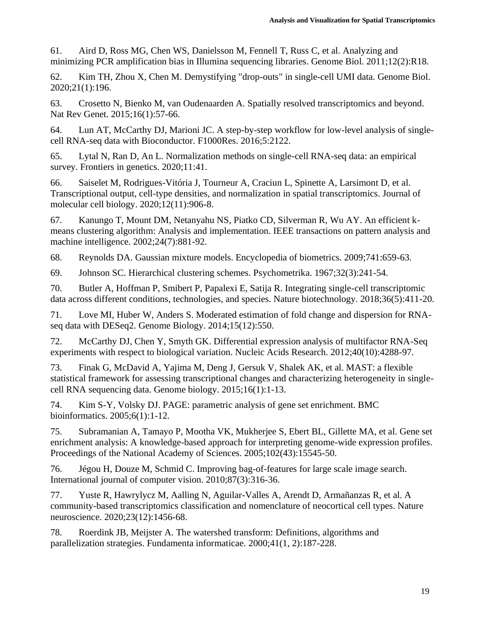61. Aird D, Ross MG, Chen WS, Danielsson M, Fennell T, Russ C, et al. Analyzing and minimizing PCR amplification bias in Illumina sequencing libraries. Genome Biol. 2011;12(2):R18.

62. Kim TH, Zhou X, Chen M. Demystifying "drop-outs" in single-cell UMI data. Genome Biol. 2020;21(1):196.

63. Crosetto N, Bienko M, van Oudenaarden A. Spatially resolved transcriptomics and beyond. Nat Rev Genet. 2015;16(1):57-66.

64. Lun AT, McCarthy DJ, Marioni JC. A step-by-step workflow for low-level analysis of singlecell RNA-seq data with Bioconductor. F1000Res. 2016;5:2122.

65. Lytal N, Ran D, An L. Normalization methods on single-cell RNA-seq data: an empirical survey. Frontiers in genetics.  $2020;11:41$ .

66. Saiselet M, Rodrigues-Vitória J, Tourneur A, Craciun L, Spinette A, Larsimont D, et al. Transcriptional output, cell-type densities, and normalization in spatial transcriptomics. Journal of molecular cell biology. 2020;12(11):906-8.

67. Kanungo T, Mount DM, Netanyahu NS, Piatko CD, Silverman R, Wu AY. An efficient kmeans clustering algorithm: Analysis and implementation. IEEE transactions on pattern analysis and machine intelligence. 2002;24(7):881-92.

68. Reynolds DA. Gaussian mixture models. Encyclopedia of biometrics. 2009;741:659-63.

69. Johnson SC. Hierarchical clustering schemes. Psychometrika. 1967;32(3):241-54.

70. Butler A, Hoffman P, Smibert P, Papalexi E, Satija R. Integrating single-cell transcriptomic data across different conditions, technologies, and species. Nature biotechnology. 2018;36(5):411-20.

71. Love MI, Huber W, Anders S. Moderated estimation of fold change and dispersion for RNAseq data with DESeq2. Genome Biology. 2014;15(12):550.

72. McCarthy DJ, Chen Y, Smyth GK. Differential expression analysis of multifactor RNA-Seq experiments with respect to biological variation. Nucleic Acids Research. 2012;40(10):4288-97.

73. Finak G, McDavid A, Yajima M, Deng J, Gersuk V, Shalek AK, et al. MAST: a flexible statistical framework for assessing transcriptional changes and characterizing heterogeneity in singlecell RNA sequencing data. Genome biology. 2015;16(1):1-13.

74. Kim S-Y, Volsky DJ. PAGE: parametric analysis of gene set enrichment. BMC bioinformatics. 2005;6(1):1-12.

75. Subramanian A, Tamayo P, Mootha VK, Mukherjee S, Ebert BL, Gillette MA, et al. Gene set enrichment analysis: A knowledge-based approach for interpreting genome-wide expression profiles. Proceedings of the National Academy of Sciences. 2005;102(43):15545-50.

76. Jégou H, Douze M, Schmid C. Improving bag-of-features for large scale image search. International journal of computer vision. 2010;87(3):316-36.

77. Yuste R, Hawrylycz M, Aalling N, Aguilar-Valles A, Arendt D, Armañanzas R, et al. A community-based transcriptomics classification and nomenclature of neocortical cell types. Nature neuroscience. 2020;23(12):1456-68.

78. Roerdink JB, Meijster A. The watershed transform: Definitions, algorithms and parallelization strategies. Fundamenta informaticae. 2000;41(1, 2):187-228.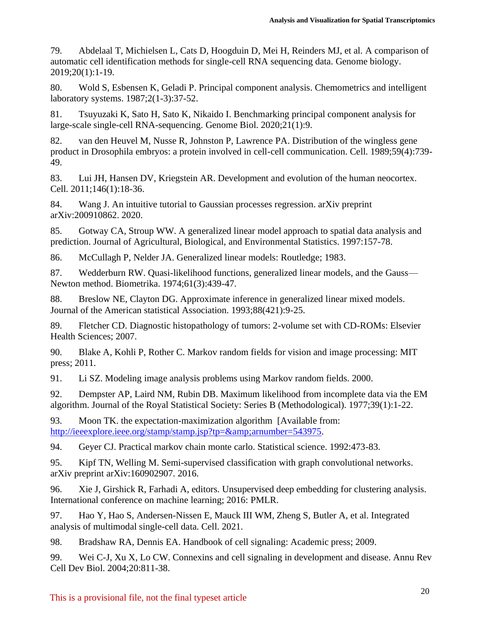79. Abdelaal T, Michielsen L, Cats D, Hoogduin D, Mei H, Reinders MJ, et al. A comparison of automatic cell identification methods for single-cell RNA sequencing data. Genome biology. 2019;20(1):1-19.

80. Wold S, Esbensen K, Geladi P. Principal component analysis. Chemometrics and intelligent laboratory systems. 1987;2(1-3):37-52.

81. Tsuyuzaki K, Sato H, Sato K, Nikaido I. Benchmarking principal component analysis for large-scale single-cell RNA-sequencing. Genome Biol. 2020;21(1):9.

82. van den Heuvel M, Nusse R, Johnston P, Lawrence PA. Distribution of the wingless gene product in Drosophila embryos: a protein involved in cell-cell communication. Cell. 1989;59(4):739- 49.

83. Lui JH, Hansen DV, Kriegstein AR. Development and evolution of the human neocortex. Cell. 2011;146(1):18-36.

84. Wang J. An intuitive tutorial to Gaussian processes regression. arXiv preprint arXiv:200910862. 2020.

85. Gotway CA, Stroup WW. A generalized linear model approach to spatial data analysis and prediction. Journal of Agricultural, Biological, and Environmental Statistics. 1997:157-78.

86. McCullagh P, Nelder JA. Generalized linear models: Routledge; 1983.

87. Wedderburn RW. Quasi-likelihood functions, generalized linear models, and the Gauss— Newton method. Biometrika. 1974;61(3):439-47.

88. Breslow NE, Clayton DG. Approximate inference in generalized linear mixed models. Journal of the American statistical Association. 1993;88(421):9-25.

89. Fletcher CD. Diagnostic histopathology of tumors: 2-volume set with CD-ROMs: Elsevier Health Sciences; 2007.

90. Blake A, Kohli P, Rother C. Markov random fields for vision and image processing: MIT press; 2011.

91. Li SZ. Modeling image analysis problems using Markov random fields. 2000.

92. Dempster AP, Laird NM, Rubin DB. Maximum likelihood from incomplete data via the EM algorithm. Journal of the Royal Statistical Society: Series B (Methodological). 1977;39(1):1-22.

93. Moon TK. the expectation-maximization algorithm [Available from: [http://ieeexplore.ieee.org/stamp/stamp.jsp?tp=&arnumber=543975.](http://ieeexplore.ieee.org/stamp/stamp.jsp?tp=&arnumber=543975)

94. Geyer CJ. Practical markov chain monte carlo. Statistical science. 1992:473-83.

95. Kipf TN, Welling M. Semi-supervised classification with graph convolutional networks. arXiv preprint arXiv:160902907. 2016.

96. Xie J, Girshick R, Farhadi A, editors. Unsupervised deep embedding for clustering analysis. International conference on machine learning; 2016: PMLR.

97. Hao Y, Hao S, Andersen-Nissen E, Mauck III WM, Zheng S, Butler A, et al. Integrated analysis of multimodal single-cell data. Cell. 2021.

98. Bradshaw RA, Dennis EA. Handbook of cell signaling: Academic press; 2009.

99. Wei C-J, Xu X, Lo CW. Connexins and cell signaling in development and disease. Annu Rev Cell Dev Biol. 2004;20:811-38.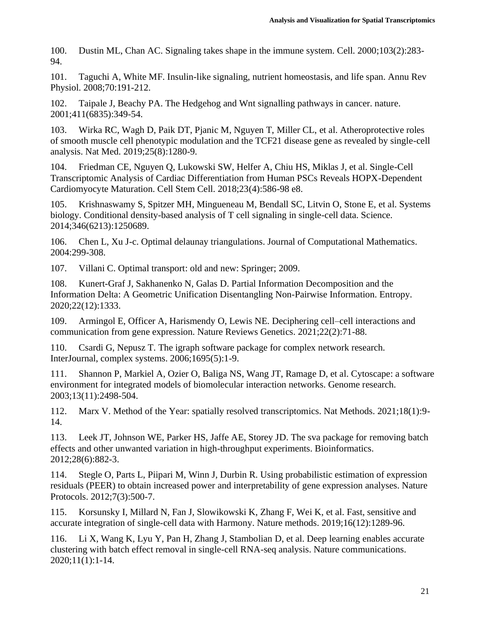100. Dustin ML, Chan AC. Signaling takes shape in the immune system. Cell. 2000;103(2):283- 94.

101. Taguchi A, White MF. Insulin-like signaling, nutrient homeostasis, and life span. Annu Rev Physiol. 2008;70:191-212.

102. Taipale J, Beachy PA. The Hedgehog and Wnt signalling pathways in cancer. nature. 2001;411(6835):349-54.

103. Wirka RC, Wagh D, Paik DT, Pjanic M, Nguyen T, Miller CL, et al. Atheroprotective roles of smooth muscle cell phenotypic modulation and the TCF21 disease gene as revealed by single-cell analysis. Nat Med. 2019;25(8):1280-9.

104. Friedman CE, Nguyen Q, Lukowski SW, Helfer A, Chiu HS, Miklas J, et al. Single-Cell Transcriptomic Analysis of Cardiac Differentiation from Human PSCs Reveals HOPX-Dependent Cardiomyocyte Maturation. Cell Stem Cell. 2018;23(4):586-98 e8.

105. Krishnaswamy S, Spitzer MH, Mingueneau M, Bendall SC, Litvin O, Stone E, et al. Systems biology. Conditional density-based analysis of T cell signaling in single-cell data. Science. 2014;346(6213):1250689.

106. Chen L, Xu J-c. Optimal delaunay triangulations. Journal of Computational Mathematics. 2004:299-308.

107. Villani C. Optimal transport: old and new: Springer; 2009.

108. Kunert-Graf J, Sakhanenko N, Galas D. Partial Information Decomposition and the Information Delta: A Geometric Unification Disentangling Non-Pairwise Information. Entropy. 2020;22(12):1333.

109. Armingol E, Officer A, Harismendy O, Lewis NE. Deciphering cell–cell interactions and communication from gene expression. Nature Reviews Genetics. 2021;22(2):71-88.

110. Csardi G, Nepusz T. The igraph software package for complex network research. InterJournal, complex systems. 2006;1695(5):1-9.

111. Shannon P, Markiel A, Ozier O, Baliga NS, Wang JT, Ramage D, et al. Cytoscape: a software environment for integrated models of biomolecular interaction networks. Genome research. 2003;13(11):2498-504.

112. Marx V. Method of the Year: spatially resolved transcriptomics. Nat Methods. 2021;18(1):9- 14.

113. Leek JT, Johnson WE, Parker HS, Jaffe AE, Storey JD. The sva package for removing batch effects and other unwanted variation in high-throughput experiments. Bioinformatics. 2012;28(6):882-3.

114. Stegle O, Parts L, Piipari M, Winn J, Durbin R. Using probabilistic estimation of expression residuals (PEER) to obtain increased power and interpretability of gene expression analyses. Nature Protocols. 2012;7(3):500-7.

115. Korsunsky I, Millard N, Fan J, Slowikowski K, Zhang F, Wei K, et al. Fast, sensitive and accurate integration of single-cell data with Harmony. Nature methods. 2019;16(12):1289-96.

116. Li X, Wang K, Lyu Y, Pan H, Zhang J, Stambolian D, et al. Deep learning enables accurate clustering with batch effect removal in single-cell RNA-seq analysis. Nature communications. 2020;11(1):1-14.